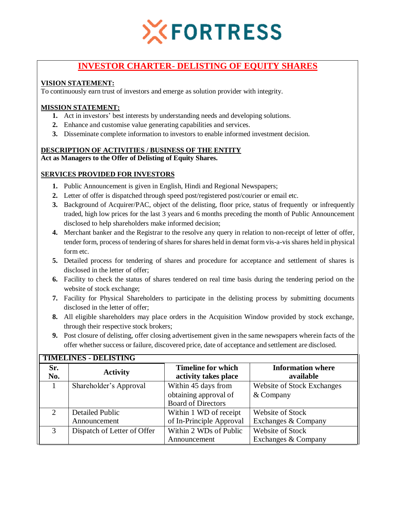

# **INVESTOR CHARTER- DELISTING OF EQUITY SHARES**

## **VISION STATEMENT:**

To continuously earn trust of investors and emerge as solution provider with integrity.

### **MISSION STATEMENT:**

- **1.** Act in investors' best interests by understanding needs and developing solutions.
- **2.** Enhance and customise value generating capabilities and services.
- **3.** Disseminate complete information to investors to enable informed investment decision.

#### **DESCRIPTION OF ACTIVITIES / BUSINESS OF THE ENTITY Act as Managers to the Offer of Delisting of Equity Shares.**

### **SERVICES PROVIDED FOR INVESTORS**

- **1.** Public Announcement is given in English, Hindi and Regional Newspapers;
- **2.** Letter of offer is dispatched through speed post/registered post/courier or email etc.
- **3.** Background of Acquirer/PAC, object of the delisting, floor price, status of frequently or infrequently traded, high low prices for the last 3 years and 6 months preceding the month of Public Announcement disclosed to help shareholders make informed decision;
- **4.** Merchant banker and the Registrar to the resolve any query in relation to non-receipt of letter of offer, tender form, process of tendering of shares for shares held in demat form vis-a-vis shares held in physical form etc.
- **5.** Detailed process for tendering of shares and procedure for acceptance and settlement of shares is disclosed in the letter of offer;
- **6.** Facility to check the status of shares tendered on real time basis during the tendering period on the website of stock exchange;
- **7.** Facility for Physical Shareholders to participate in the delisting process by submitting documents disclosed in the letter of offer;
- **8.** All eligible shareholders may place orders in the Acquisition Window provided by stock exchange, through their respective stock brokers;
- **9.** Post closure of delisting, offer closing advertisement given in the same newspapers wherein facts of the offer whether success or failure, discovered price, date of acceptance and settlement are disclosed.

| <b>TIMELINES - DELISTING</b> |                                 |                                                                           |                                                |  |  |  |
|------------------------------|---------------------------------|---------------------------------------------------------------------------|------------------------------------------------|--|--|--|
| Sr.<br>No.                   | <b>Activity</b>                 | <b>Timeline for which</b><br>activity takes place                         | <b>Information where</b><br>available          |  |  |  |
|                              | Shareholder's Approval          | Within 45 days from<br>obtaining approval of<br><b>Board of Directors</b> | <b>Website of Stock Exchanges</b><br>& Company |  |  |  |
| $\mathcal{D}_{\mathcal{L}}$  | Detailed Public<br>Announcement | Within 1 WD of receipt<br>of In-Principle Approval                        | Website of Stock<br>Exchanges & Company        |  |  |  |
| 3                            | Dispatch of Letter of Offer     | Within 2 WDs of Public<br>Announcement                                    | <b>Website of Stock</b><br>Exchanges & Company |  |  |  |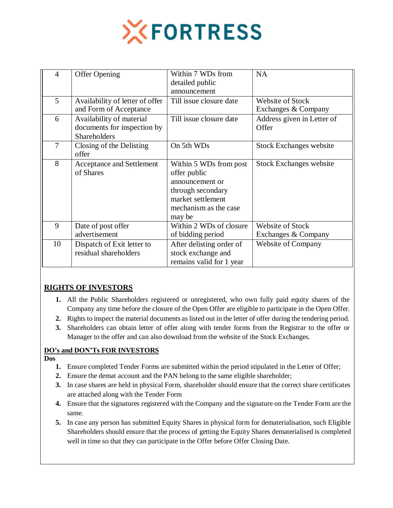

| $\overline{4}$ | <b>Offer Opening</b>                                                           | Within 7 WDs from<br>detailed public<br>announcement                                                                                   | <b>NA</b>                               |
|----------------|--------------------------------------------------------------------------------|----------------------------------------------------------------------------------------------------------------------------------------|-----------------------------------------|
| 5              | Availability of letter of offer<br>and Form of Acceptance                      | Till issue closure date                                                                                                                | Website of Stock<br>Exchanges & Company |
| 6              | Availability of material<br>documents for inspection by<br><b>Shareholders</b> | Till issue closure date                                                                                                                | Address given in Letter of<br>Offer     |
| $\overline{7}$ | Closing of the Delisting<br>offer                                              | On 5th WDs                                                                                                                             | <b>Stock Exchanges website</b>          |
| 8              | <b>Acceptance and Settlement</b><br>of Shares                                  | Within 5 WDs from post<br>offer public<br>announcement or<br>through secondary<br>market settlement<br>mechanism as the case<br>may be | <b>Stock Exchanges website</b>          |
| 9              | Date of post offer<br>advertisement                                            | Within 2 WDs of closure<br>of bidding period                                                                                           | Website of Stock<br>Exchanges & Company |
| 10             | Dispatch of Exit letter to<br>residual shareholders                            | After delisting order of<br>stock exchange and<br>remains valid for 1 year                                                             | <b>Website of Company</b>               |

## **RIGHTS OF INVESTORS**

- **1.** All the Public Shareholders registered or unregistered, who own fully paid equity shares of the Company any time before the closure of the Open Offer are eligible to participate in the Open Offer.
- **2.** Rights to inspect the material documents as listed out in the letter of offer during the tendering period.
- **3.** Shareholders can obtain letter of offer along with tender forms from the Registrar to the offer or Manager to the offer and can also download from the website of the Stock Exchanges.

#### **DO's and DON'Ts FOR INVESTORS**

#### **Dos**

- **1.** Ensure completed Tender Forms are submitted within the period stipulated in the Letter of Offer;
- **2.** Ensure the demat account and the PAN belong to the same eligible shareholder;
- **3.** In case shares are held in physical Form, shareholder should ensure that the correct share certificates are attached along with the Tender Form
- **4.** Ensure that the signatures registered with the Company and the signature on the Tender Form are the same.
- **5.** In case any person has submitted Equity Shares in physical form for dematerialisation, such Eligible Shareholders should ensure that the process of getting the Equity Shares dematerialised is completed well in time so that they can participate in the Offer before Offer Closing Date.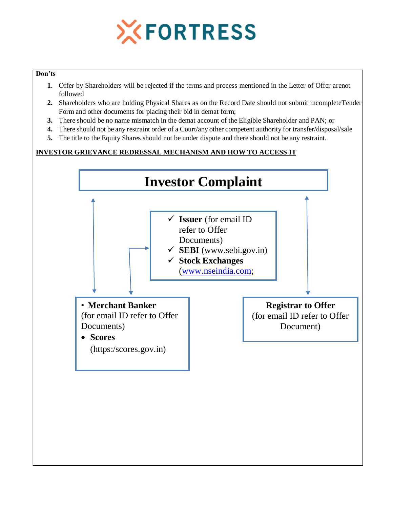

#### **Don'ts**

- **1.** Offer by Shareholders will be rejected if the terms and process mentioned in the Letter of Offer arenot followed
- **2.** Shareholders who are holding Physical Shares as on the Record Date should not submit incompleteTender Form and other documents for placing their bid in demat form;
- **3.** There should be no name mismatch in the demat account of the Eligible Shareholder and PAN; or
- **4.** There should not be any restraint order of a Court/any other competent authority for transfer/disposal/sale
- **5.** The title to the Equity Shares should not be under dispute and there should not be any restraint.

## **INVESTOR GRIEVANCE REDRESSAL MECHANISM AND HOW TO ACCESS IT**

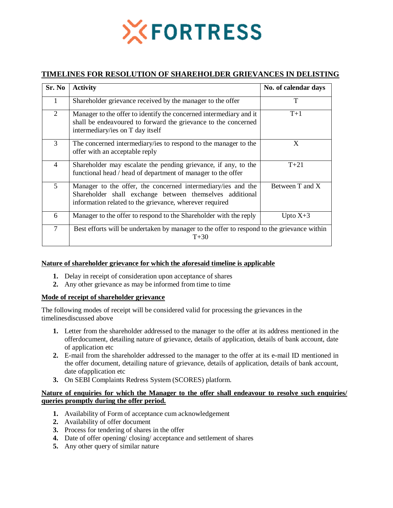

## **TIMELINES FOR RESOLUTION OF SHAREHOLDER GRIEVANCES IN DELISTING**

| Sr. No         | <b>Activity</b>                                                                                                                                                                     | No. of calendar days |  |
|----------------|-------------------------------------------------------------------------------------------------------------------------------------------------------------------------------------|----------------------|--|
| 1              | Shareholder grievance received by the manager to the offer                                                                                                                          | T                    |  |
| 2              | Manager to the offer to identify the concerned intermediary and it<br>shall be endeavoured to forward the grievance to the concerned<br>intermediary/ies on T day itself            | $T+1$                |  |
| 3              | The concerned intermediary/ies to respond to the manager to the<br>offer with an acceptable reply                                                                                   | X                    |  |
| $\overline{4}$ | Shareholder may escalate the pending grievance, if any, to the<br>functional head / head of department of manager to the offer                                                      | $T + 21$             |  |
| 5              | Manager to the offer, the concerned intermediary/ies and the<br>Shareholder shall exchange between themselves additional<br>information related to the grievance, wherever required | Between T and X      |  |
| 6              | Manager to the offer to respond to the Shareholder with the reply                                                                                                                   | Upto $X+3$           |  |
| $\overline{7}$ | Best efforts will be undertaken by manager to the offer to respond to the grievance within<br>$T + 30$                                                                              |                      |  |

#### **Nature of shareholder grievance for which the aforesaid timeline is applicable**

- **1.** Delay in receipt of consideration upon acceptance of shares
- **2.** Any other grievance as may be informed from time to time

#### **Mode of receipt of shareholder grievance**

The following modes of receipt will be considered valid for processing the grievances in the timelinesdiscussed above

- **1.** Letter from the shareholder addressed to the manager to the offer at its address mentioned in the offerdocument, detailing nature of grievance, details of application, details of bank account, date of application etc
- **2.** E-mail from the shareholder addressed to the manager to the offer at its e-mail ID mentioned in the offer document, detailing nature of grievance, details of application, details of bank account, date ofapplication etc
- **3.** On SEBI Complaints Redress System (SCORES) platform.

#### **Nature of enquiries for which the Manager to the offer shall endeavour to resolve such enquiries/ queries promptly during the offer period.**

- **1.** Availability of Form of acceptance cum acknowledgement
- **2.** Availability of offer document
- **3.** Process for tendering of shares in the offer
- **4.** Date of offer opening/ closing/ acceptance and settlement of shares
- **5.** Any other query of similar nature